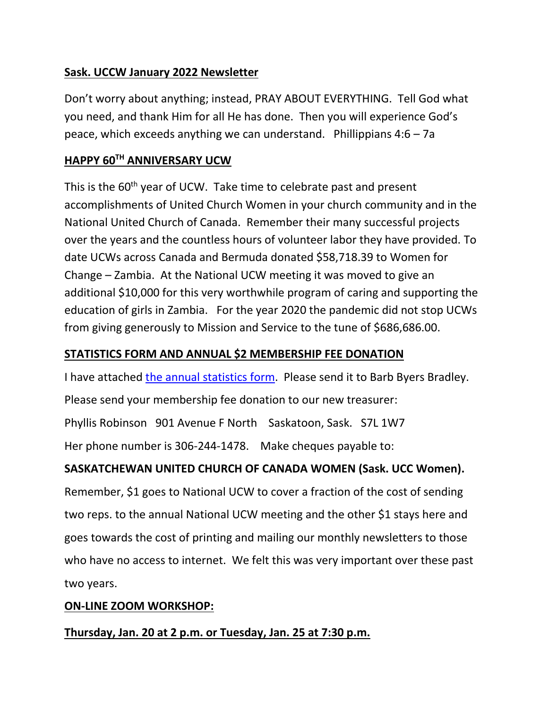## **Sask. UCCW January 2022 Newsletter**

Don't worry about anything; instead, PRAY ABOUT EVERYTHING. Tell God what you need, and thank Him for all He has done. Then you will experience God's peace, which exceeds anything we can understand. Phillippians  $4:6 - 7a$ 

## **HAPPY 60TH ANNIVERSARY UCW**

This is the 60<sup>th</sup> year of UCW. Take time to celebrate past and present accomplishments of United Church Women in your church community and in the National United Church of Canada. Remember their many successful projects over the years and the countless hours of volunteer labor they have provided. To date UCWs across Canada and Bermuda donated \$58,718.39 to Women for Change – Zambia. At the National UCW meeting it was moved to give an additional \$10,000 for this very worthwhile program of caring and supporting the education of girls in Zambia. For the year 2020 the pandemic did not stop UCWs from giving generously to Mission and Service to the tune of \$686,686.00.

## **STATISTICS FORM AND ANNUAL \$2 MEMBERSHIP FEE DONATION**

I have attached [the annual statistics](https://livingskiesrc.ca/wp-content/uploads/2022/01/2021-2022-Statistics-report-blank.docx) form. Please send it to Barb Byers Bradley.

Please send your membership fee donation to our new treasurer:

Phyllis Robinson 901 Avenue F North Saskatoon, Sask. S7L 1W7

Her phone number is 306-244-1478. Make cheques payable to:

# **SASKATCHEWAN UNITED CHURCH OF CANADA WOMEN (Sask. UCC Women).**

Remember, \$1 goes to National UCW to cover a fraction of the cost of sending two reps. to the annual National UCW meeting and the other \$1 stays here and goes towards the cost of printing and mailing our monthly newsletters to those who have no access to internet. We felt this was very important over these past two years.

#### **ON-LINE ZOOM WORKSHOP:**

#### **Thursday, Jan. 20 at 2 p.m. or Tuesday, Jan. 25 at 7:30 p.m.**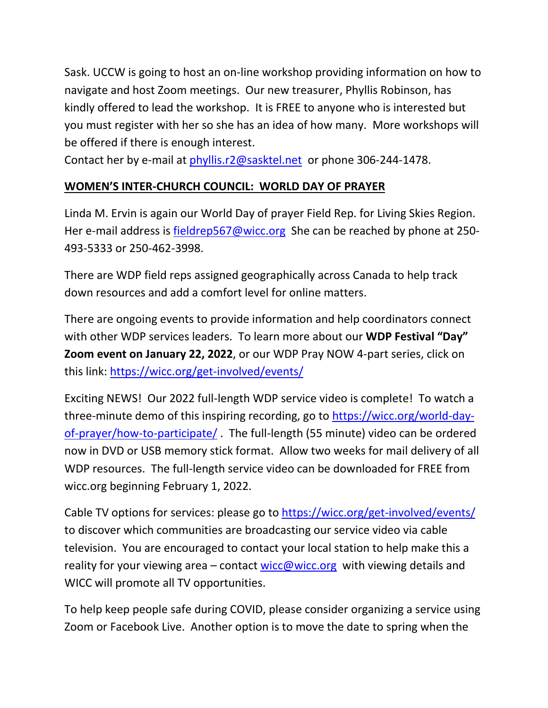Sask. UCCW is going to host an on-line workshop providing information on how to navigate and host Zoom meetings. Our new treasurer, Phyllis Robinson, has kindly offered to lead the workshop. It is FREE to anyone who is interested but you must register with her so she has an idea of how many. More workshops will be offered if there is enough interest.

Contact her by e-mail at [phyllis.r2@sasktel.net](mailto:phyllis.r2@sasktel.net) or phone 306-244-1478.

# **WOMEN'S INTER-CHURCH COUNCIL: WORLD DAY OF PRAYER**

Linda M. Ervin is again our World Day of prayer Field Rep. for Living Skies Region. Her e-mail address is [fieldrep567@wicc.org](mailto:fieldrep567@wicc.org) She can be reached by phone at 250- 493-5333 or 250-462-3998.

There are WDP field reps assigned geographically across Canada to help track down resources and add a comfort level for online matters.

There are ongoing events to provide information and help coordinators connect with other WDP services leaders. To learn more about our **WDP Festival "Day" Zoom event on January 22, 2022**, or our WDP Pray NOW 4-part series, click on this link:<https://wicc.org/get-involved/events/>

Exciting NEWS! Our 2022 full-length WDP service video is complete! To watch a three-minute demo of this inspiring recording, go to [https://wicc.org/world-day](https://wicc.org/world-day-of-prayer/how-to-participate/)[of-prayer/how-to-participate/](https://wicc.org/world-day-of-prayer/how-to-participate/) . The full-length (55 minute) video can be ordered now in DVD or USB memory stick format. Allow two weeks for mail delivery of all WDP resources. The full-length service video can be downloaded for FREE from wicc.org beginning February 1, 2022.

Cable TV options for services: please go to<https://wicc.org/get-involved/events/> to discover which communities are broadcasting our service video via cable television. You are encouraged to contact your local station to help make this a reality for your viewing area – contact [wicc@wicc.org](mailto:wicc@wicc.org) with viewing details and WICC will promote all TV opportunities.

To help keep people safe during COVID, please consider organizing a service using Zoom or Facebook Live. Another option is to move the date to spring when the